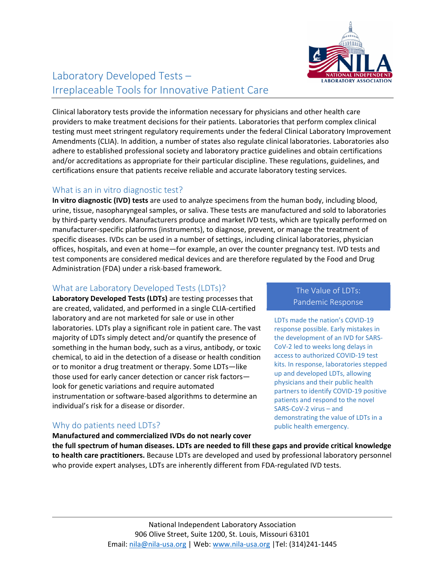

# Laboratory Developed Tests – Irreplaceable Tools for Innovative Patient Care

Clinical laboratory tests provide the information necessary for physicians and other health care providers to make treatment decisions for their patients. Laboratories that perform complex clinical testing must meet stringent regulatory requirements under the federal Clinical Laboratory Improvement Amendments (CLIA). In addition, a number of states also regulate clinical laboratories. Laboratories also adhere to established professional society and laboratory practice guidelines and obtain certifications and/or accreditations as appropriate for their particular discipline. These regulations, guidelines, and certifications ensure that patients receive reliable and accurate laboratory testing services.

### What is an in vitro diagnostic test?

**In vitro diagnostic (IVD) tests** are used to analyze specimens from the human body, including blood, urine, tissue, nasopharyngeal samples, or saliva. These tests are manufactured and sold to laboratories by third‐party vendors. Manufacturers produce and market IVD tests, which are typically performed on manufacturer‐specific platforms (instruments), to diagnose, prevent, or manage the treatment of specific diseases. IVDs can be used in a number of settings, including clinical laboratories, physician offices, hospitals, and even at home—for example, an over the counter pregnancy test. IVD tests and test components are considered medical devices and are therefore regulated by the Food and Drug Administration (FDA) under a risk‐based framework.

#### What are Laboratory Developed Tests (LDTs)?

**Laboratory Developed Tests (LDTs)** are testing processes that are created, validated, and performed in a single CLIA‐certified laboratory and are not marketed for sale or use in other laboratories. LDTs play a significant role in patient care. The vast majority of LDTs simply detect and/or quantify the presence of something in the human body, such as a virus, antibody, or toxic chemical, to aid in the detection of a disease or health condition or to monitor a drug treatment or therapy. Some LDTs—like those used for early cancer detection or cancer risk factors look for genetic variations and require automated instrumentation or software‐based algorithms to determine an individual's risk for a disease or disorder.

**Manufactured and commercialized IVDs do not nearly cover**

# Why do patients need LDTs?

The Value of LDTs: Pandemic Response

LDTs made the nation's COVID‐19 response possible. Early mistakes in the development of an IVD for SARS‐ CoV‐2 led to weeks long delays in access to authorized COVID‐19 test kits. In response, laboratories stepped up and developed LDTs, allowing physicians and their public health partners to identify COVID‐19 positive patients and respond to the novel SARS‐CoV‐2 virus – and demonstrating the value of LDTs in a public health emergency.

**the full spectrum of human diseases. LDTs are needed to fill these gaps and provide critical knowledge to health care practitioners.** Because LDTs are developed and used by professional laboratory personnel who provide expert analyses, LDTs are inherently different from FDA-regulated IVD tests.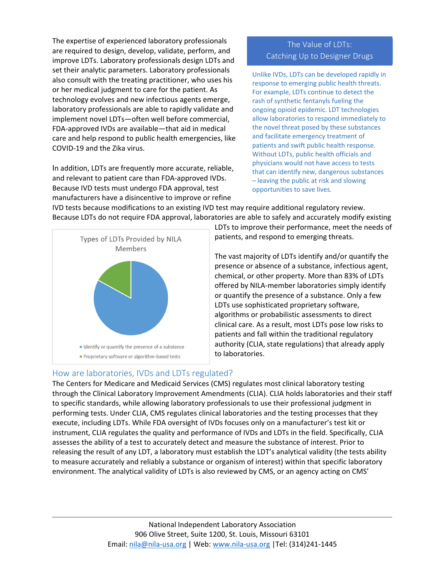The expertise of experienced laboratory professionals are required to design, develop, validate, perform, and improve LDTs. Laboratory professionals design LDTs and set their analytic parameters. Laboratory professionals also consult with the treating practitioner, who uses his or her medical judgment to care for the patient. As technology evolves and new infectious agents emerge, laboratory professionals are able to rapidly validate and implement novel LDTs—often well before commercial, FDA‐approved IVDs are available—that aid in medical care and help respond to public health emergencies, like COVID‐19 and the Zika virus.

In addition, LDTs are frequently more accurate, reliable, and relevant to patient care than FDA‐approved IVDs. Because IVD tests must undergo FDA approval, test manufacturers have a disincentive to improve or refine

# The Value of LDTs: Catching Up to Designer Drugs

Unlike IVDs, LDTs can be developed rapidly in response to emerging public health threats. For example, LDTs continue to detect the rash of synthetic fentanyls fueling the ongoing opioid epidemic. LDT technologies allow laboratories to respond immediately to the novel threat posed by these substances and facilitate emergency treatment of patients and swift public health response. Without LDTs, public health officials and physicians would not have access to tests that can identify new, dangerous substances – leaving the public at risk and slowing opportunities to save lives.

IVD tests because modifications to an existing IVD test may require additional regulatory review. Because LDTs do not require FDA approval, laboratories are able to safely and accurately modify existing



LDTs to improve their performance, meet the needs of patients, and respond to emerging threats.

The vast majority of LDTs identify and/or quantify the presence or absence of a substance, infectious agent, chemical, or other property. More than 83% of LDTs offered by NILA‐member laboratories simply identify or quantify the presence of a substance. Only a few LDTs use sophisticated proprietary software, algorithms or probabilistic assessments to direct clinical care. As a result, most LDTs pose low risks to patients and fall within the traditional regulatory authority (CLIA, state regulations) that already apply to laboratories.

### How are laboratories, IVDs and LDTs regulated?

The Centers for Medicare and Medicaid Services (CMS) regulates most clinical laboratory testing through the Clinical Laboratory Improvement Amendments (CLIA). CLIA holds laboratories and their staff to specific standards, while allowing laboratory professionals to use their professional judgment in performing tests. Under CLIA, CMS regulates clinical laboratories and the testing processes that they execute, including LDTs. While FDA oversight of IVDs focuses only on a manufacturer's test kit or instrument, CLIA regulates the quality and performance of IVDs and LDTs in the field. Specifically, CLIA assesses the ability of a test to accurately detect and measure the substance of interest. Prior to releasing the result of any LDT, a laboratory must establish the LDT's analytical validity (the tests ability to measure accurately and reliably a substance or organism of interest) within that specific laboratory environment. The analytical validity of LDTs is also reviewed by CMS, or an agency acting on CMS'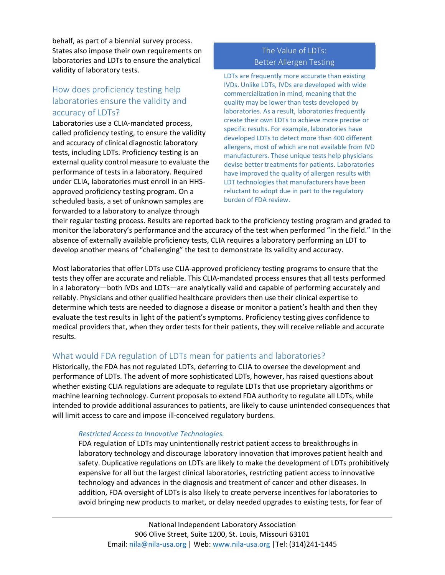behalf, as part of a biennial survey process. States also impose their own requirements on laboratories and LDTs to ensure the analytical validity of laboratory tests.

# How does proficiency testing help laboratories ensure the validity and accuracy of LDTs?

Laboratories use a CLIA‐mandated process, called proficiency testing, to ensure the validity and accuracy of clinical diagnostic laboratory tests, including LDTs. Proficiency testing is an external quality control measure to evaluate the performance of tests in a laboratory. Required under CLIA, laboratories must enroll in an HHS‐ approved proficiency testing program. On a scheduled basis, a set of unknown samples are forwarded to a laboratory to analyze through

# The Value of LDT<sub>S:</sub> Better Allergen Testing

LDTs are frequently more accurate than existing IVDs. Unlike LDTs, IVDs are developed with wide commercialization in mind, meaning that the quality may be lower than tests developed by laboratories. As a result, laboratories frequently create their own LDTs to achieve more precise or specific results. For example, laboratories have developed LDTs to detect more than 400 different allergens, most of which are not available from IVD manufacturers. These unique tests help physicians devise better treatments for patients. Laboratories have improved the quality of allergen results with LDT technologies that manufacturers have been reluctant to adopt due in part to the regulatory burden of FDA review.

their regular testing process. Results are reported back to the proficiency testing program and graded to monitor the laboratory's performance and the accuracy of the test when performed "in the field." In the absence of externally available proficiency tests, CLIA requires a laboratory performing an LDT to develop another means of "challenging" the test to demonstrate its validity and accuracy.

Most laboratories that offer LDTs use CLIA‐approved proficiency testing programs to ensure that the tests they offer are accurate and reliable. This CLIA‐mandated process ensures that all tests performed in a laboratory—both IVDs and LDTs—are analytically valid and capable of performing accurately and reliably. Physicians and other qualified healthcare providers then use their clinical expertise to determine which tests are needed to diagnose a disease or monitor a patient's health and then they evaluate the test results in light of the patient's symptoms. Proficiency testing gives confidence to medical providers that, when they order tests for their patients, they will receive reliable and accurate results.

### What would FDA regulation of LDTs mean for patients and laboratories?

Historically, the FDA has not regulated LDTs, deferring to CLIA to oversee the development and performance of LDTs. The advent of more sophisticated LDTs, however, has raised questions about whether existing CLIA regulations are adequate to regulate LDTs that use proprietary algorithms or machine learning technology. Current proposals to extend FDA authority to regulate all LDTs, while intended to provide additional assurances to patients, are likely to cause unintended consequences that will limit access to care and impose ill-conceived regulatory burdens.

#### *Restricted Access to Innovative Technologies.*

FDA regulation of LDTs may unintentionally restrict patient access to breakthroughs in laboratory technology and discourage laboratory innovation that improves patient health and safety. Duplicative regulations on LDTs are likely to make the development of LDTs prohibitively expensive for all but the largest clinical laboratories, restricting patient access to innovative technology and advances in the diagnosis and treatment of cancer and other diseases. In addition, FDA oversight of LDTs is also likely to create perverse incentives for laboratories to avoid bringing new products to market, or delay needed upgrades to existing tests, for fear of